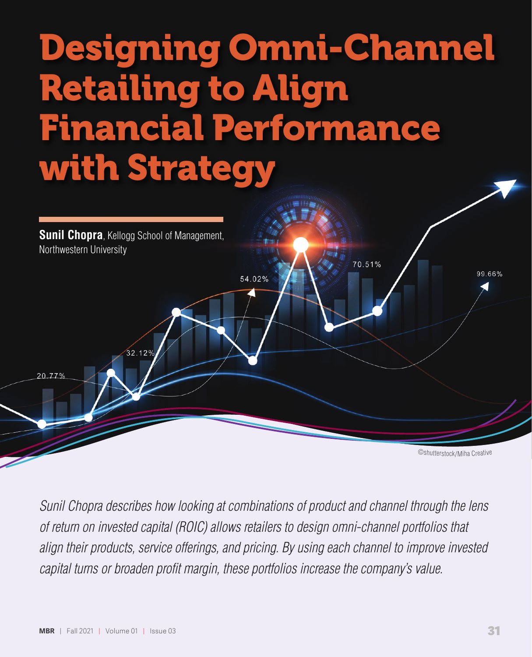# Designing Omni-Channel Retailing to Align Financial Performance with Strategy



*Sunil Chopra describes how looking at combinations of product and channel through the lens of return on invested capital (ROIC) allows retailers to design omni-channel portfolios that align their products, service offerings, and pricing. By using each channel to improve invested capital turns or broaden profit margin, these portfolios increase the company's value.*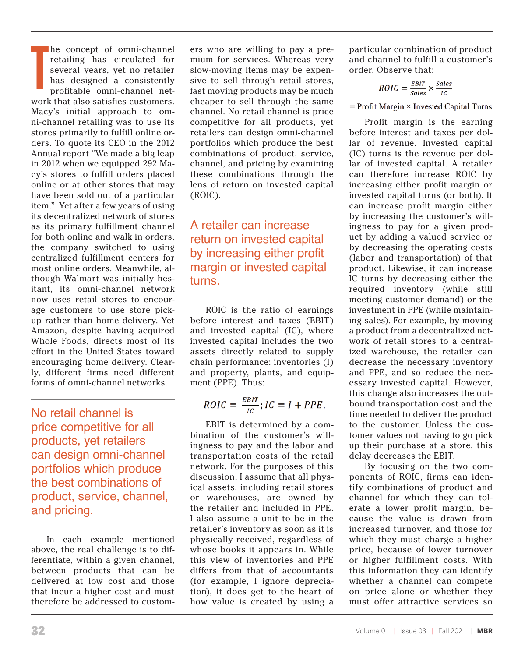**T** he concept of omni-channel retailing has circulated for several years, yet no retailer has designed a consistently profitable omni-channel network that also satisfies customers. Macy's initial approach to omni-channel retailing was to use its stores primarily to fulfill online orders. To quote its CEO in the 2012 Annual report "We made a big leap in 2012 when we equipped 292 Macy's stores to fulfill orders placed online or at other stores that may have been sold out of a particular item."1 Yet after a few years of using its decentralized network of stores as its primary fulfillment channel for both online and walk in orders, the company switched to using centralized fulfillment centers for most online orders. Meanwhile, although Walmart was initially hesitant, its omni-channel network now uses retail stores to encourage customers to use store pickup rather than home delivery. Yet Amazon, despite having acquired Whole Foods, directs most of its effort in the United States toward encouraging home delivery. Clearly, different firms need different forms of omni-channel networks.

No retail channel is price competitive for all products, yet retailers can design omni-channel portfolios which produce the best combinations of product, service, channel, and pricing.

In each example mentioned above, the real challenge is to differentiate, within a given channel, between products that can be delivered at low cost and those that incur a higher cost and must therefore be addressed to customers who are willing to pay a premium for services. Whereas very slow-moving items may be expensive to sell through retail stores, fast moving products may be much cheaper to sell through the same channel. No retail channel is price competitive for all products, yet retailers can design omni-channel portfolios which produce the best combinations of product, service, channel, and pricing by examining these combinations through the lens of return on invested capital (ROIC).

A retailer can increase return on invested capital by increasing either profit margin or invested capital turns.

ROIC is the ratio of earnings before interest and taxes (EBIT) and invested capital (IC), where invested capital includes the two assets directly related to supply chain performance: inventories (I) and property, plants, and equipment (PPE). Thus:

$$
ROIC = \frac{EBIT}{IC}; IC = I + PPE.
$$

EBIT is determined by a combination of the customer's willingness to pay and the labor and transportation costs of the retail network. For the purposes of this discussion, I assume that all physical assets, including retail stores or warehouses, are owned by the retailer and included in PPE. I also assume a unit to be in the retailer's inventory as soon as it is physically received, regardless of whose books it appears in. While this view of inventories and PPE differs from that of accountants (for example, I ignore depreciation), it does get to the heart of how value is created by using a

particular combination of product and channel to fulfill a customer's order. Observe that:

$$
ROIC = \frac{EBIT}{Sales} \times \frac{Sales}{IC}
$$

 $=$  Profit Margin  $\times$  Invested Capital Turns

Profit margin is the earning before interest and taxes per dollar of revenue. Invested capital (IC) turns is the revenue per dollar of invested capital. A retailer can therefore increase ROIC by increasing either profit margin or invested capital turns (or both). It can increase profit margin either by increasing the customer's willingness to pay for a given product by adding a valued service or by decreasing the operating costs (labor and transportation) of that product. Likewise, it can increase IC turns by decreasing either the required inventory (while still meeting customer demand) or the investment in PPE (while maintaining sales). For example, by moving a product from a decentralized network of retail stores to a centralized warehouse, the retailer can decrease the necessary inventory and PPE, and so reduce the necessary invested capital. However, this change also increases the outbound transportation cost and the time needed to deliver the product to the customer. Unless the customer values not having to go pick up their purchase at a store, this delay decreases the EBIT.

By focusing on the two components of ROIC, firms can identify combinations of product and channel for which they can tolerate a lower profit margin, because the value is drawn from increased turnover, and those for which they must charge a higher price, because of lower turnover or higher fulfillment costs. With this information they can identify whether a channel can compete on price alone or whether they must offer attractive services so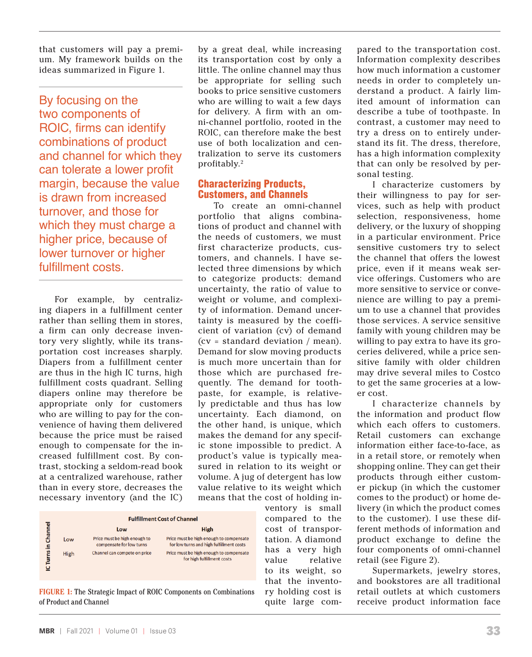that customers will pay a premium. My framework builds on the ideas summarized in Figure 1.

By focusing on the two components of ROIC, firms can identify combinations of product and channel for which they can tolerate a lower profit margin, because the value is drawn from increased turnover, and those for which they must charge a higher price, because of lower turnover or higher fulfillment costs.

For example, by centralizing diapers in a fulfillment center rather than selling them in stores, a firm can only decrease inventory very slightly, while its transportation cost increases sharply. Diapers from a fulfillment center are thus in the high IC turns, high fulfillment costs quadrant. Selling diapers online may therefore be appropriate only for customers who are willing to pay for the convenience of having them delivered because the price must be raised enough to compensate for the increased fulfillment cost. By contrast, stocking a seldom-read book at a centralized warehouse, rather than in every store, decreases the necessary inventory (and the IC) by a great deal, while increasing its transportation cost by only a little. The online channel may thus be appropriate for selling such books to price sensitive customers who are willing to wait a few days for delivery. A firm with an omni-channel portfolio, rooted in the ROIC, can therefore make the best use of both localization and centralization to serve its customers profitably.2

# Characterizing Products, Customers, and Channels

To create an omni-channel portfolio that aligns combinations of product and channel with the needs of customers, we must first characterize products, customers, and channels. I have selected three dimensions by which to categorize products: demand uncertainty, the ratio of value to weight or volume, and complexity of information. Demand uncertainty is measured by the coefficient of variation (cv) of demand (cv = standard deviation / mean). Demand for slow moving products is much more uncertain than for those which are purchased frequently. The demand for toothpaste, for example, is relatively predictable and thus has low uncertainty. Each diamond, on the other hand, is unique, which makes the demand for any specific stone impossible to predict. A product's value is typically measured in relation to its weight or volume. A jug of detergent has low value relative to its weight which means that the cost of holding in-

|          |      | <b>Fulfillment Cost of Channel</b>                       |                                                                                    |  |  |
|----------|------|----------------------------------------------------------|------------------------------------------------------------------------------------|--|--|
| Channel  |      | Low                                                      | <b>High</b>                                                                        |  |  |
| Turns in | Low  | Price must be high enough to<br>compensate for low turns | Price must be high enough to compensat<br>for low turns and high fulfillment costs |  |  |
|          | High | Channel can compete on price                             | Price must be high enough to compensat<br>for high fulfillment costs               |  |  |

**FIGURE 1:** The Strategic Impact of ROIC Components on Combinations of Product and Channel

ventory is small compared to the cost of transportation. A diamond has a very high value relative to its weight, so that the inventory holding cost is quite large com-

pared to the transportation cost. Information complexity describes how much information a customer needs in order to completely understand a product. A fairly limited amount of information can describe a tube of toothpaste. In contrast, a customer may need to try a dress on to entirely understand its fit. The dress, therefore, has a high information complexity that can only be resolved by personal testing.

I characterize customers by their willingness to pay for services, such as help with product selection, responsiveness, home delivery, or the luxury of shopping in a particular environment. Price sensitive customers try to select the channel that offers the lowest price, even if it means weak service offerings. Customers who are more sensitive to service or convenience are willing to pay a premium to use a channel that provides those services. A service sensitive family with young children may be willing to pay extra to have its groceries delivered, while a price sensitive family with older children may drive several miles to Costco to get the same groceries at a lower cost.

I characterize channels by the information and product flow which each offers to customers. Retail customers can exchange information either face-to-face, as in a retail store, or remotely when shopping online. They can get their products through either customer pickup (in which the customer comes to the product) or home delivery (in which the product comes to the customer). I use these different methods of information and product exchange to define the four components of omni-channel retail (see Figure 2).

Supermarkets, jewelry stores, and bookstores are all traditional retail outlets at which customers receive product information face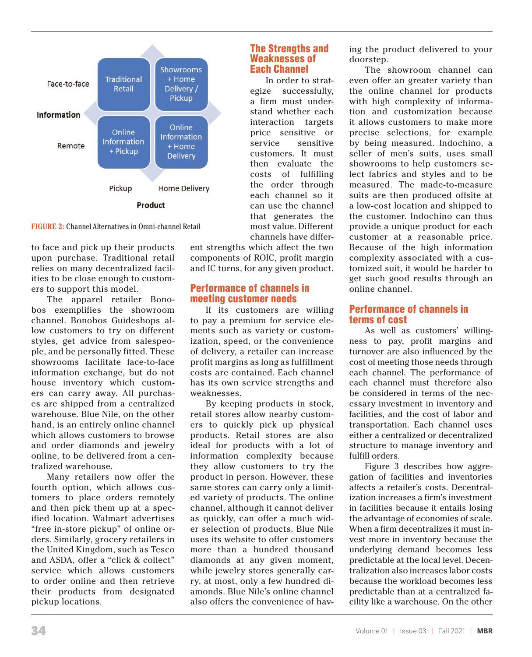

**FIGURE 2:** Channel Alternatives in Omni-channel Retail

to face and pick up their products upon purchase. Traditional retail relies on many decentralized facilities to be close enough to customers to support this model.

The apparel retailer Bonobos exemplifies the showroom channel. Bonobos Guideshops allow customers to try on different styles, get advice from salespeople, and be personally fitted. These showrooms facilitate face-to-face information exchange, but do not house inventory which customers can carry away. All purchases are shipped from a centralized warehouse. Blue Nile, on the other hand, is an entirely online channel which allows customers to browse and order diamonds and jewelry online, to be delivered from a centralized warehouse.

Many retailers now offer the fourth option, which allows customers to place orders remotely and then pick them up at a specified location. Walmart advertises "free in-store pickup" of online orders. Similarly, grocery retailers in the United Kingdom, such as Tesco and ASDA, offer a "click & collect" service which allows customers to order online and then retrieve their products from designated pickup locations.

ent strengths which affect the two components of ROIC, profit margin and IC turns, for any given product.

The Strengths and Weaknesses of Each Channel

In order to strategize successfully, a firm must understand whether each interaction targets price sensitive or service sensitive customers. It must then evaluate the costs of fulfilling the order through each channel so it can use the channel that generates the most value. Different channels have differ-

### Performance of channels in meeting customer needs

If its customers are willing to pay a premium for service elements such as variety or customization, speed, or the convenience of delivery, a retailer can increase profit margins as long as fulfillment costs are contained. Each channel has its own service strengths and weaknesses.

By keeping products in stock, retail stores allow nearby customers to quickly pick up physical products. Retail stores are also ideal for products with a lot of information complexity because they allow customers to try the product in person. However, these same stores can carry only a limited variety of products. The online channel, although it cannot deliver as quickly, can offer a much wider selection of products. Blue Nile uses its website to offer customers more than a hundred thousand diamonds at any given moment, while jewelry stores generally carry, at most, only a few hundred diamonds. Blue Nile's online channel also offers the convenience of having the product delivered to your doorstep.

The showroom channel can even offer an greater variety than the online channel for products with high complexity of information and customization because it allows customers to make more precise selections, for example by being measured. Indochino, a seller of men's suits, uses small showrooms to help customers select fabrics and styles and to be measured. The made-to-measure suits are then produced offsite at a low-cost location and shipped to the customer. Indochino can thus provide a unique product for each customer at a reasonable price. Because of the high information complexity associated with a customized suit, it would be harder to get such good results through an online channel.

### Performance of channels in terms of cost

As well as customers' willingness to pay, profit margins and turnover are also influenced by the cost of meeting those needs through each channel. The performance of each channel must therefore also be considered in terms of the necessary investment in inventory and facilities, and the cost of labor and transportation. Each channel uses either a centralized or decentralized structure to manage inventory and fulfill orders.

Figure 3 describes how aggregation of facilities and inventories affects a retailer's costs. Decentralization increases a firm's investment in facilities because it entails losing the advantage of economies of scale. When a firm decentralizes it must invest more in inventory because the underlying demand becomes less predictable at the local level. Decentralization also increases labor costs because the workload becomes less predictable than at a centralized facility like a warehouse. On the other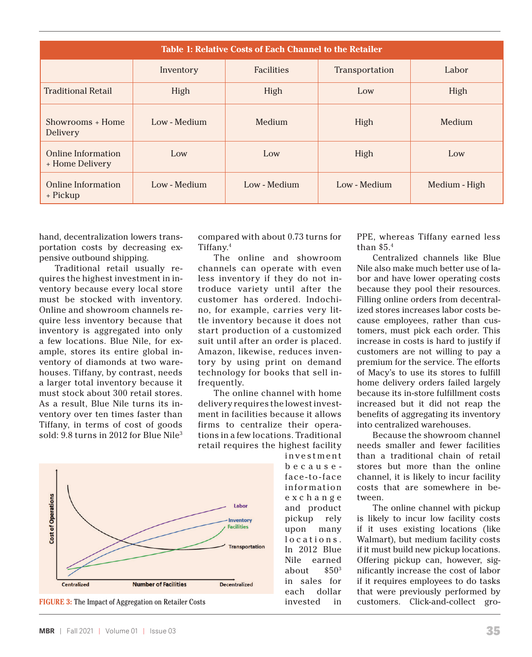| <b>Table 1: Relative Costs of Each Channel to the Retailer</b> |              |                   |                |               |  |  |
|----------------------------------------------------------------|--------------|-------------------|----------------|---------------|--|--|
|                                                                | Inventory    | <b>Facilities</b> | Transportation | Labor         |  |  |
| <b>Traditional Retail</b>                                      | High         | High              | Low            | High          |  |  |
| Showrooms + Home<br>Delivery                                   | Low - Medium | Medium            | High           | Medium        |  |  |
| <b>Online Information</b><br>+ Home Delivery                   | Low          | Low               | High           | Low           |  |  |
| Online Information<br>+ Pickup                                 | Low - Medium | Low - Medium      | Low - Medium   | Medium - High |  |  |

hand, decentralization lowers transportation costs by decreasing expensive outbound shipping.

Traditional retail usually requires the highest investment in inventory because every local store must be stocked with inventory. Online and showroom channels require less inventory because that inventory is aggregated into only a few locations. Blue Nile, for example, stores its entire global inventory of diamonds at two warehouses. Tiffany, by contrast, needs a larger total inventory because it must stock about 300 retail stores. As a result, Blue Nile turns its inventory over ten times faster than Tiffany, in terms of cost of goods sold: 9.8 turns in 2012 for Blue Nile<sup>3</sup>





compared with about 0.73 turns for Tiffany.4

The online and showroom channels can operate with even less inventory if they do not introduce variety until after the customer has ordered. Indochino, for example, carries very little inventory because it does not start production of a customized suit until after an order is placed. Amazon, likewise, reduces inventory by using print on demand technology for books that sell infrequently.

The online channel with home delivery requires the lowest investment in facilities because it allows firms to centralize their operations in a few locations. Traditional retail requires the highest facility

i n v e s t m e n t because face-to-face infor mation e x c h a n g e and product pickup rely upon many locations. In 2012 Blue Nile earned about  $$50<sup>3</sup>$ in sales for each dollar invested in

PPE, whereas Tiffany earned less than \$5.4

Centralized channels like Blue Nile also make much better use of labor and have lower operating costs because they pool their resources. Filling online orders from decentralized stores increases labor costs because employees, rather than customers, must pick each order. This increase in costs is hard to justify if customers are not willing to pay a premium for the service. The efforts of Macy's to use its stores to fulfill home delivery orders failed largely because its in-store fulfillment costs increased but it did not reap the benefits of aggregating its inventory into centralized warehouses.

Because the showroom channel needs smaller and fewer facilities than a traditional chain of retail stores but more than the online channel, it is likely to incur facility costs that are somewhere in between.

The online channel with pickup is likely to incur low facility costs if it uses existing locations (like Walmart), but medium facility costs if it must build new pickup locations. Offering pickup can, however, significantly increase the cost of labor if it requires employees to do tasks that were previously performed by FIGURE 3: The Impact of Aggregation on Retailer Costs customers. Click-and-collect gro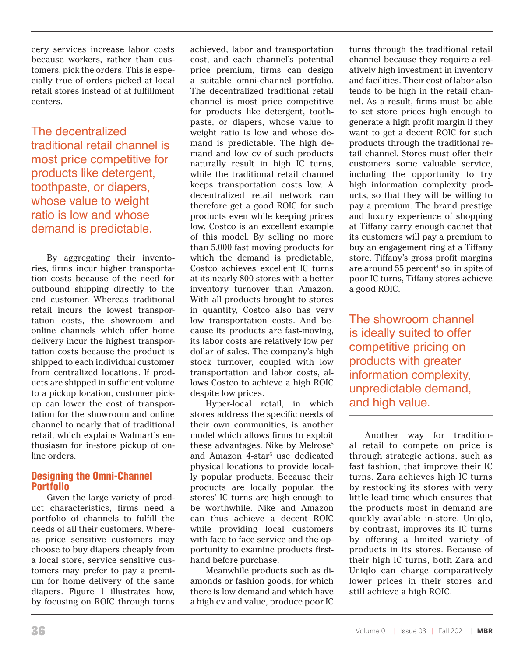cery services increase labor costs because workers, rather than customers, pick the orders. This is especially true of orders picked at local retail stores instead of at fulfillment centers.

The decentralized traditional retail channel is most price competitive for products like detergent, toothpaste, or diapers, whose value to weight ratio is low and whose demand is predictable.

By aggregating their inventories, firms incur higher transportation costs because of the need for outbound shipping directly to the end customer. Whereas traditional retail incurs the lowest transportation costs, the showroom and online channels which offer home delivery incur the highest transportation costs because the product is shipped to each individual customer from centralized locations. If products are shipped in sufficient volume to a pickup location, customer pickup can lower the cost of transportation for the showroom and online channel to nearly that of traditional retail, which explains Walmart's enthusiasm for in-store pickup of online orders.

# Designing the Omni-Channel Portfolio

Given the large variety of product characteristics, firms need a portfolio of channels to fulfill the needs of all their customers. Whereas price sensitive customers may choose to buy diapers cheaply from a local store, service sensitive customers may prefer to pay a premium for home delivery of the same diapers. Figure 1 illustrates how, by focusing on ROIC through turns

achieved, labor and transportation cost, and each channel's potential price premium, firms can design a suitable omni-channel portfolio. The decentralized traditional retail channel is most price competitive for products like detergent, toothpaste, or diapers, whose value to weight ratio is low and whose demand is predictable. The high demand and low cv of such products naturally result in high IC turns, while the traditional retail channel keeps transportation costs low. A decentralized retail network can therefore get a good ROIC for such products even while keeping prices low. Costco is an excellent example of this model. By selling no more than 5,000 fast moving products for which the demand is predictable, Costco achieves excellent IC turns at its nearly 800 stores with a better inventory turnover than Amazon. With all products brought to stores in quantity, Costco also has very low transportation costs. And because its products are fast-moving, its labor costs are relatively low per dollar of sales. The company's high stock turnover, coupled with low transportation and labor costs, allows Costco to achieve a high ROIC despite low prices.

Hyper-local retail, in which stores address the specific needs of their own communities, is another model which allows firms to exploit these advantages. Nike by Melrose<sup>5</sup> and Amazon 4-star<sup>6</sup> use dedicated physical locations to provide locally popular products. Because their products are locally popular, the stores' IC turns are high enough to be worthwhile. Nike and Amazon can thus achieve a decent ROIC while providing local customers with face to face service and the opportunity to examine products firsthand before purchase.

Meanwhile products such as diamonds or fashion goods, for which there is low demand and which have a high cv and value, produce poor IC turns through the traditional retail channel because they require a relatively high investment in inventory and facilities. Their cost of labor also tends to be high in the retail channel. As a result, firms must be able to set store prices high enough to generate a high profit margin if they want to get a decent ROIC for such products through the traditional retail channel. Stores must offer their customers some valuable service, including the opportunity to try high information complexity products, so that they will be willing to pay a premium. The brand prestige and luxury experience of shopping at Tiffany carry enough cachet that its customers will pay a premium to buy an engagement ring at a Tiffany store. Tiffany's gross profit margins are around 55 percent<sup>4</sup> so, in spite of poor IC turns, Tiffany stores achieve a good ROIC.

The showroom channel is ideally suited to offer competitive pricing on products with greater information complexity, unpredictable demand, and high value.

Another way for traditional retail to compete on price is through strategic actions, such as fast fashion, that improve their IC turns. Zara achieves high IC turns by restocking its stores with very little lead time which ensures that the products most in demand are quickly available in-store. Uniqlo, by contrast, improves its IC turns by offering a limited variety of products in its stores. Because of their high IC turns, both Zara and Uniqlo can charge comparatively lower prices in their stores and still achieve a high ROIC.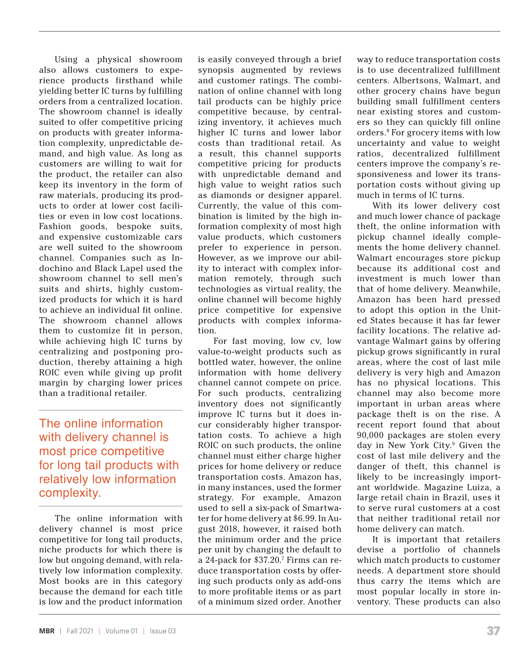Using a physical showroom also allows customers to experience products firsthand while yielding better IC turns by fulfilling orders from a centralized location. The showroom channel is ideally suited to offer competitive pricing on products with greater information complexity, unpredictable demand, and high value. As long as customers are willing to wait for the product, the retailer can also keep its inventory in the form of raw materials, producing its products to order at lower cost facilities or even in low cost locations. Fashion goods, bespoke suits, and expensive customizable cars are well suited to the showroom channel. Companies such as Indochino and Black Lapel used the showroom channel to sell men's suits and shirts, highly customized products for which it is hard to achieve an individual fit online. The showroom channel allows them to customize fit in person, while achieving high IC turns by centralizing and postponing production, thereby attaining a high ROIC even while giving up profit margin by charging lower prices than a traditional retailer.

The online information with delivery channel is most price competitive for long tail products with relatively low information complexity.

The online information with delivery channel is most price competitive for long tail products, niche products for which there is low but ongoing demand, with relatively low information complexity. Most books are in this category because the demand for each title is low and the product information is easily conveyed through a brief synopsis augmented by reviews and customer ratings. The combination of online channel with long tail products can be highly price competitive because, by centralizing inventory, it achieves much higher IC turns and lower labor costs than traditional retail. As a result, this channel supports competitive pricing for products with unpredictable demand and high value to weight ratios such as diamonds or designer apparel. Currently, the value of this combination is limited by the high information complexity of most high value products, which customers prefer to experience in person. However, as we improve our ability to interact with complex information remotely, through such technologies as virtual reality, the online channel will become highly price competitive for expensive products with complex information.

For fast moving, low cv, low value-to-weight products such as bottled water, however, the online information with home delivery channel cannot compete on price. For such products, centralizing inventory does not significantly improve IC turns but it does incur considerably higher transportation costs. To achieve a high ROIC on such products, the online channel must either charge higher prices for home delivery or reduce transportation costs. Amazon has, in many instances, used the former strategy. For example, Amazon used to sell a six-pack of Smartwater for home delivery at \$6.99. In August 2018, however, it raised both the minimum order and the price per unit by changing the default to a 24-pack for \$37.20.7 Firms can reduce transportation costs by offering such products only as add-ons to more profitable items or as part of a minimum sized order. Another

way to reduce transportation costs is to use decentralized fulfillment centers. Albertsons, Walmart, and other grocery chains have begun building small fulfillment centers near existing stores and customers so they can quickly fill online orders.8 For grocery items with low uncertainty and value to weight ratios, decentralized fulfillment centers improve the company's responsiveness and lower its transportation costs without giving up much in terms of IC turns.

With its lower delivery cost and much lower chance of package theft, the online information with pickup channel ideally complements the home delivery channel. Walmart encourages store pickup because its additional cost and investment is much lower than that of home delivery. Meanwhile, Amazon has been hard pressed to adopt this option in the United States because it has far fewer facility locations. The relative advantage Walmart gains by offering pickup grows significantly in rural areas, where the cost of last mile delivery is very high and Amazon has no physical locations. This channel may also become more important in urban areas where package theft is on the rise. A recent report found that about 90,000 packages are stolen every day in New York City.9 Given the cost of last mile delivery and the danger of theft, this channel is likely to be increasingly important worldwide. Magazine Luiza, a large retail chain in Brazil, uses it to serve rural customers at a cost that neither traditional retail nor home delivery can match.

It is important that retailers devise a portfolio of channels which match products to customer needs. A department store should thus carry the items which are most popular locally in store inventory. These products can also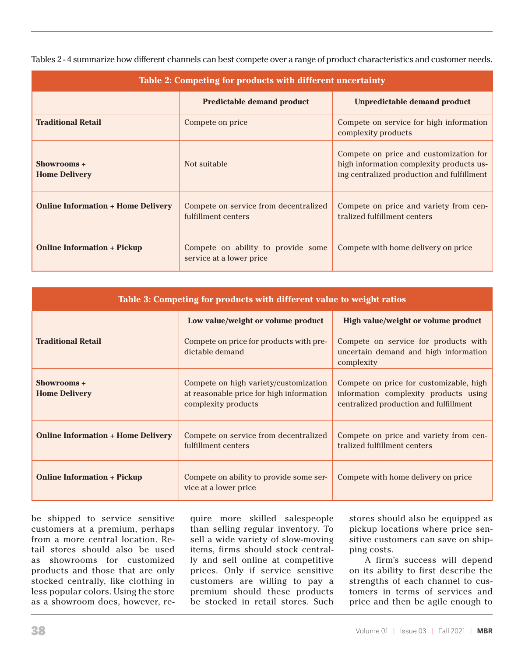| Table 2: Competing for products with different uncertainty |                                                                |                                                                                                                                  |  |  |
|------------------------------------------------------------|----------------------------------------------------------------|----------------------------------------------------------------------------------------------------------------------------------|--|--|
|                                                            | <b>Predictable demand product</b>                              | Unpredictable demand product                                                                                                     |  |  |
| <b>Traditional Retail</b>                                  | Compete on price                                               | Compete on service for high information<br>complexity products                                                                   |  |  |
| Showrooms +<br><b>Home Delivery</b>                        | Not suitable                                                   | Compete on price and customization for<br>high information complexity products us-<br>ing centralized production and fulfillment |  |  |
| <b>Online Information + Home Delivery</b>                  | Compete on service from decentralized<br>fulfillment centers   | Compete on price and variety from cen-<br>tralized fulfillment centers                                                           |  |  |
| <b>Online Information + Pickup</b>                         | Compete on ability to provide some<br>service at a lower price | Compete with home delivery on price                                                                                              |  |  |

Tables 2 - 4 summarize how different channels can best compete over a range of product characteristics and customer needs.

| Table 3: Competing for products with different value to weight ratios |                                                                                                          |                                                                                                                            |  |  |
|-----------------------------------------------------------------------|----------------------------------------------------------------------------------------------------------|----------------------------------------------------------------------------------------------------------------------------|--|--|
|                                                                       | Low value/weight or volume product                                                                       | High value/weight or volume product                                                                                        |  |  |
| <b>Traditional Retail</b>                                             | Compete on price for products with pre-<br>dictable demand                                               | Compete on service for products with<br>uncertain demand and high information<br>complexity                                |  |  |
| Showrooms +<br><b>Home Delivery</b>                                   | Compete on high variety/customization<br>at reasonable price for high information<br>complexity products | Compete on price for customizable, high<br>information complexity products using<br>centralized production and fulfillment |  |  |
| <b>Online Information + Home Delivery</b>                             | Compete on service from decentralized<br>fulfillment centers                                             | Compete on price and variety from cen-<br>tralized fulfillment centers                                                     |  |  |
| <b>Online Information + Pickup</b>                                    | Compete on ability to provide some ser-<br>vice at a lower price                                         | Compete with home delivery on price                                                                                        |  |  |

be shipped to service sensitive customers at a premium, perhaps from a more central location. Retail stores should also be used as showrooms for customized products and those that are only stocked centrally, like clothing in less popular colors. Using the store as a showroom does, however, re-

quire more skilled salespeople than selling regular inventory. To sell a wide variety of slow-moving items, firms should stock centrally and sell online at competitive prices. Only if service sensitive customers are willing to pay a premium should these products be stocked in retail stores. Such

stores should also be equipped as pickup locations where price sensitive customers can save on shipping costs.

A firm's success will depend on its ability to first describe the strengths of each channel to customers in terms of services and price and then be agile enough to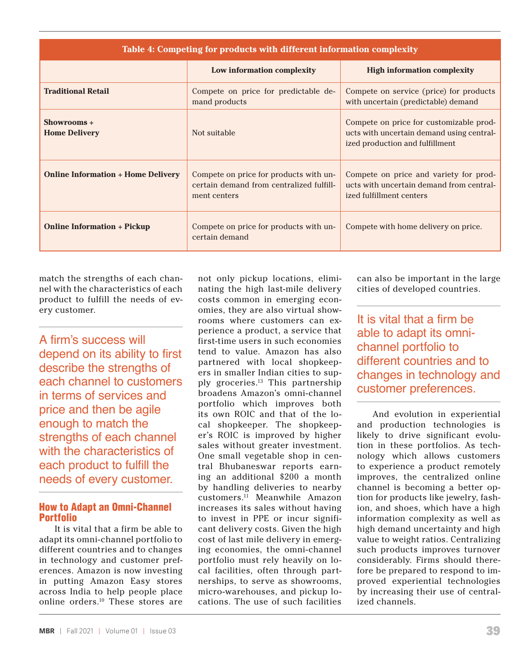| Table 4: Competing for products with different information complexity |                                                                                                    |                                                                                                                         |  |  |
|-----------------------------------------------------------------------|----------------------------------------------------------------------------------------------------|-------------------------------------------------------------------------------------------------------------------------|--|--|
|                                                                       | Low information complexity                                                                         | <b>High information complexity</b>                                                                                      |  |  |
| <b>Traditional Retail</b>                                             | Compete on price for predictable de-<br>mand products                                              | Compete on service (price) for products<br>with uncertain (predictable) demand                                          |  |  |
| Showrooms +<br><b>Home Delivery</b>                                   | Not suitable                                                                                       | Compete on price for customizable prod-<br>ucts with uncertain demand using central-<br>ized production and fulfillment |  |  |
| <b>Online Information + Home Delivery</b>                             | Compete on price for products with un-<br>certain demand from centralized fulfill-<br>ment centers | Compete on price and variety for prod-<br>ucts with uncertain demand from central-<br>ized fulfillment centers          |  |  |
| <b>Online Information + Pickup</b>                                    | Compete on price for products with un-<br>certain demand                                           | Compete with home delivery on price.                                                                                    |  |  |

match the strengths of each channel with the characteristics of each product to fulfill the needs of every customer.

A firm's success will depend on its ability to first describe the strengths of each channel to customers in terms of services and price and then be agile enough to match the strengths of each channel with the characteristics of each product to fulfill the needs of every customer.

# How to Adapt an Omni-Channel **Portfolio**

It is vital that a firm be able to adapt its omni-channel portfolio to different countries and to changes in technology and customer preferences. Amazon is now investing in putting Amazon Easy stores across India to help people place online orders.10 These stores are not only pickup locations, eliminating the high last-mile delivery costs common in emerging economies, they are also virtual showrooms where customers can experience a product, a service that first-time users in such economies tend to value. Amazon has also partnered with local shopkeepers in smaller Indian cities to supply groceries.13 This partnership broadens Amazon's omni-channel portfolio which improves both its own ROIC and that of the local shopkeeper. The shopkeeper's ROIC is improved by higher sales without greater investment. One small vegetable shop in central Bhubaneswar reports earning an additional \$200 a month by handling deliveries to nearby customers.11 Meanwhile Amazon increases its sales without having to invest in PPE or incur significant delivery costs. Given the high cost of last mile delivery in emerging economies, the omni-channel portfolio must rely heavily on local facilities, often through partnerships, to serve as showrooms, micro-warehouses, and pickup locations. The use of such facilities

can also be important in the large cities of developed countries.

It is vital that a firm be able to adapt its omnichannel portfolio to different countries and to changes in technology and customer preferences.

And evolution in experiential and production technologies is likely to drive significant evolution in these portfolios. As technology which allows customers to experience a product remotely improves, the centralized online channel is becoming a better option for products like jewelry, fashion, and shoes, which have a high information complexity as well as high demand uncertainty and high value to weight ratios. Centralizing such products improves turnover considerably. Firms should therefore be prepared to respond to improved experiential technologies by increasing their use of centralized channels.